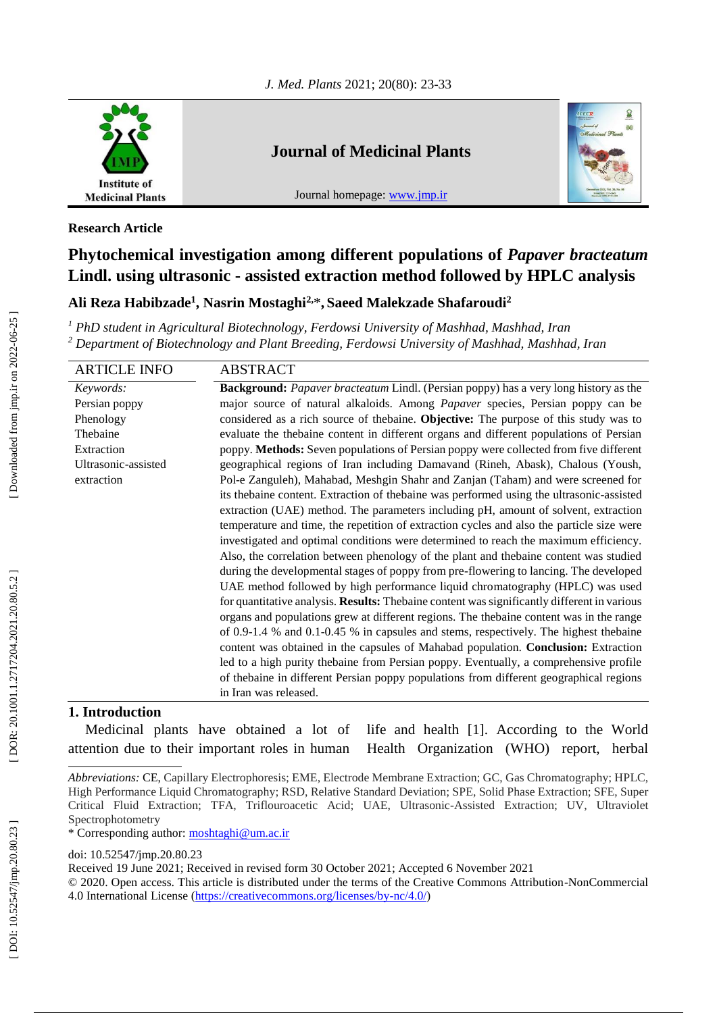

# **Journal of Medicinal Plants**

Journal homepage: [www.jmp.ir](http://www.jmp.ir/)



### **Research Article**

# **Phytochemical investigation among different populations of** *Papaver bracteatum* **Lindl. using ultrasonic - assisted extraction method followed by HPLC analysis**

# **Ali Reza Habibzade 1 , Nasrin Mostaghi2,** \* **, Saeed Malekzade Shafaroudi 2**

*<sup>1</sup> PhD student in Agricultural Biotechnology, Ferdowsi University of Mashhad, Mashhad, Iran <sup>2</sup> Department of Biotechnology and Plant Breeding, Ferdowsi University of Mashhad, Mashhad, Iran*

| <b>ARTICLE INFO</b> | <b>ABSTRACT</b>                                                                                                                                                                                                                                                                                                                                                                                                                                                                                                                                                                                                                                                                                                                                                                                                                                                                                                                                                                                                                                                                                           |  |  |  |
|---------------------|-----------------------------------------------------------------------------------------------------------------------------------------------------------------------------------------------------------------------------------------------------------------------------------------------------------------------------------------------------------------------------------------------------------------------------------------------------------------------------------------------------------------------------------------------------------------------------------------------------------------------------------------------------------------------------------------------------------------------------------------------------------------------------------------------------------------------------------------------------------------------------------------------------------------------------------------------------------------------------------------------------------------------------------------------------------------------------------------------------------|--|--|--|
| Keywords:           | <b>Background:</b> <i>Papaver bracteatum</i> Lindl. (Persian poppy) has a very long history as the                                                                                                                                                                                                                                                                                                                                                                                                                                                                                                                                                                                                                                                                                                                                                                                                                                                                                                                                                                                                        |  |  |  |
| Persian poppy       | major source of natural alkaloids. Among <i>Papaver</i> species, Persian poppy can be                                                                                                                                                                                                                                                                                                                                                                                                                                                                                                                                                                                                                                                                                                                                                                                                                                                                                                                                                                                                                     |  |  |  |
| Phenology           | considered as a rich source of the baine. Objective: The purpose of this study was to                                                                                                                                                                                                                                                                                                                                                                                                                                                                                                                                                                                                                                                                                                                                                                                                                                                                                                                                                                                                                     |  |  |  |
| Thebaine            | evaluate the the baine content in different organs and different populations of Persian                                                                                                                                                                                                                                                                                                                                                                                                                                                                                                                                                                                                                                                                                                                                                                                                                                                                                                                                                                                                                   |  |  |  |
| Extraction          | poppy. Methods: Seven populations of Persian poppy were collected from five different                                                                                                                                                                                                                                                                                                                                                                                                                                                                                                                                                                                                                                                                                                                                                                                                                                                                                                                                                                                                                     |  |  |  |
| Ultrasonic-assisted | geographical regions of Iran including Damavand (Rineh, Abask), Chalous (Yoush,                                                                                                                                                                                                                                                                                                                                                                                                                                                                                                                                                                                                                                                                                                                                                                                                                                                                                                                                                                                                                           |  |  |  |
| extraction          | Pol-e Zanguleh), Mahabad, Meshgin Shahr and Zanjan (Taham) and were screened for<br>its thebaine content. Extraction of thebaine was performed using the ultrasonic-assisted<br>extraction (UAE) method. The parameters including pH, amount of solvent, extraction<br>temperature and time, the repetition of extraction cycles and also the particle size were<br>investigated and optimal conditions were determined to reach the maximum efficiency.<br>Also, the correlation between phenology of the plant and thebaine content was studied<br>during the developmental stages of poppy from pre-flowering to lancing. The developed<br>UAE method followed by high performance liquid chromatography (HPLC) was used<br>for quantitative analysis. Results: Thebaine content was significantly different in various<br>organs and populations grew at different regions. The thebaine content was in the range<br>of $0.9-1.4$ % and $0.1-0.45$ % in capsules and stems, respectively. The highest the baine<br>content was obtained in the capsules of Mahabad population. Conclusion: Extraction |  |  |  |
|                     | led to a high purity thebaine from Persian poppy. Eventually, a comprehensive profile                                                                                                                                                                                                                                                                                                                                                                                                                                                                                                                                                                                                                                                                                                                                                                                                                                                                                                                                                                                                                     |  |  |  |
|                     | of the baine in different Persian poppy populations from different geographical regions                                                                                                                                                                                                                                                                                                                                                                                                                                                                                                                                                                                                                                                                                                                                                                                                                                                                                                                                                                                                                   |  |  |  |
|                     | in Iran was released.                                                                                                                                                                                                                                                                                                                                                                                                                                                                                                                                                                                                                                                                                                                                                                                                                                                                                                                                                                                                                                                                                     |  |  |  |

# **1. Introduction**

Medicinal plants have obtained a lot of attention due to their important roles in human **1** Health Organization (WHO) report, herbal life and health [1]. According to the World

\* Corresponding author: [moshtaghi@um.ac.ir](file:///C:/Users/user/Downloads/moshtaghi@um.ac.ir) 

doi: [10.52547/jmp.20.80.23](http://dx.doi.org/10.52547/jmp.20.80.23)

Received 19 June 202 1; Received in revised form 30 October 2021; Accepted 6 November 2021

Abbreviations: CE, Capillary Electrophoresis; EME, Electrode Membrane Extraction; GC, Gas Chromatography; HPLC, High Performance Liquid Chromatography; RSD, Relative Standard Deviation; SPE, Solid Phase Extraction; SFE, Super Critical Fluid Extraction; TFA, Triflouroacetic Acid; UAE, Ultrasonic - Assisted Extraction; UV, Ultraviolet Spectrophotometry

<sup>© 2020.</sup> Open access. This article is distributed under the terms of the Creative Commons Attribution -NonCommercial 4.0 International License [\(https://creativecommons.org/licenses/by](https://creativecommons.org/licenses/by-nc/4.0/)-nc/4.0/)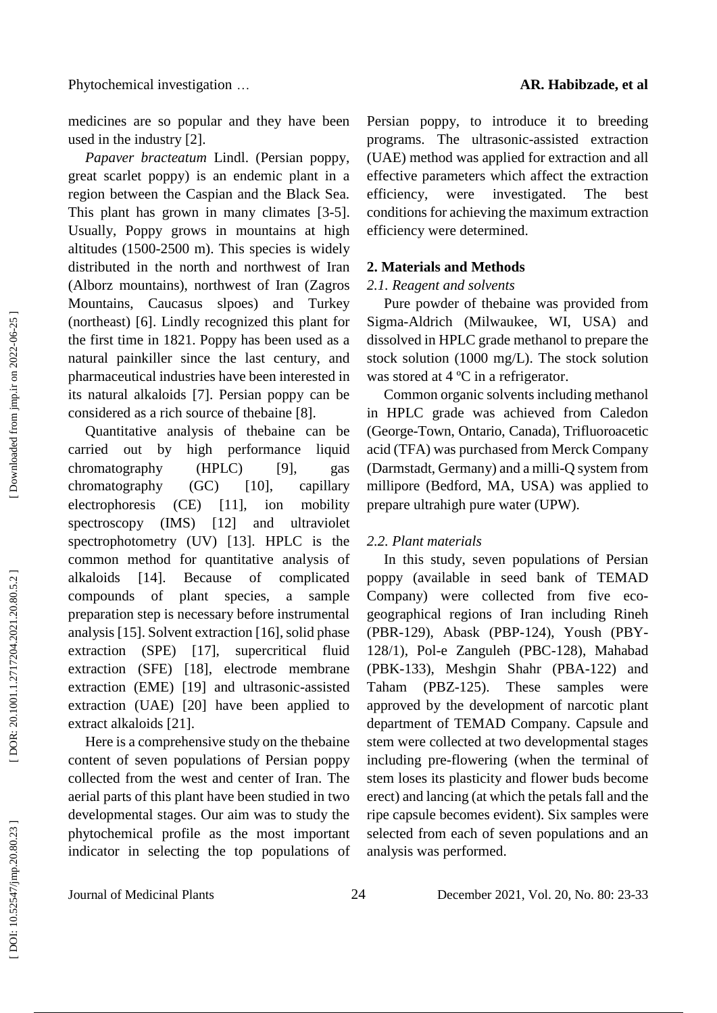medicines are so popular and they have been used in the industry [2] .

*Papaver bracteatum* Lindl. (Persian poppy, great scarlet poppy) is an endemic plant in a region between the Caspian and the Black Sea. This plant has grown in many climates [3 -5]. Usually, Poppy grows in mountains at high altitudes (1500 -2500 m). This species is widely distributed in the north and northwest of Iran (Alborz mountains), northwest of Iran (Zagros Mountains, Caucasus slpoes) and Turkey (northeast) [6]. Lindly recognized this plant for the first time in 1821. Poppy has been used as a natural painkiller since the last century, and pharmaceutical industries have been interested in its natural alkaloids [7]. Persian poppy can be considered as a rich source of thebaine [8] .

Quantitative analysis of thebaine can be carried out by high performance liquid chromatography (HPLC) [9], gas chromatography (GC) [10], capillary electrophoresis (CE) [11], ion mobility spectroscopy (IMS) [12] and ultraviolet spectrophotometry (UV) [13]. HPLC is the common method for quantitative analysis of alkaloids [14]. Because of complicated compounds of plant species, a sample preparation step is necessary before instrumental analysis [15]. Solvent extraction [16], solid phase extraction (SPE) [17], supercritical fluid extraction (SFE) [18], electrode membrane extraction (EME) [19] and ultrasonic -assisted extraction (UAE) [20] have been applied to extract alkaloids [21] .

Here is a comprehensive study on the thebaine content of seven populations of Persian poppy collected from the west and center of Iran. The aerial parts of this plant have been studied in two developmental stages. Our aim was to study the phytochemical profile as the most important indicator in selecting the top populations of

Persian poppy, to introduce it to breeding programs. The ultrasonic -assisted extraction (UAE) method was applied for extraction and all effective parameters which affect the extraction efficiency, were investigated. The best conditions for achieving the maximum extraction efficiency were determined.

### **2. Materials and Methods**

### *2.1. Reagent and solvents*

Pure powder of thebaine was provided from Sigma -Aldrich (Milwaukee, WI, USA) and dissolved in HPLC grade methanol to prepare the stock solution (1000 mg /L). The stock solution was stored at 4 °C in a refrigerator.

Common organic solvents including methanol in HPLC grade was achieved from Caledon (George -Town, Ontario, Canada), Trifluoroacetic acid (TFA) was purchased from Merck Company (Darmstadt, Germany) and a milli -Q system from millipore (Bedford, MA, USA) was applied to prepare ultrahigh pure water (UPW).

### *2.2. Plant materials*

In this study, seven populations of Persian poppy (available in seed bank of TEMAD Company) were collected from five eco geographical regions of Iran including Rineh (PBR -129), Abask (PBP -124), Yoush (PBY - 128/1), Pol -e Zanguleh (PBC -128), Mahabad (PBK -133), Mesh gin Shahr (PBA -122) and Taham (PBZ-125). These samples were approved by the development of narcotic plant department of TEMAD Company. Capsule and stem were collected at two developmental stages including pre -flowering (when the terminal of stem loses its plasticity and flower bud s become erect) and lancing (at which the petals fall and the ripe capsule becomes evident). Six samples were selected from each of seven populations and an analysis was performed .

Journal of Medicinal Plants 24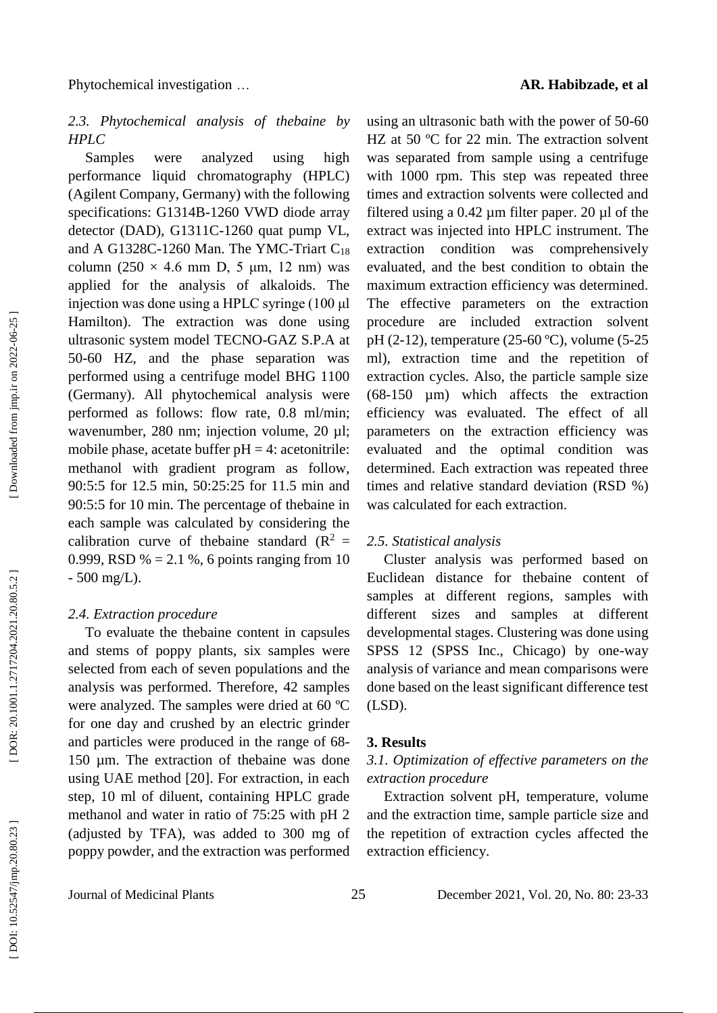# *2.3. Phytochemical analysis of thebaine by HPLC*

Samples were analyzed using high performance liquid chromatography (HPLC) (Agilent Company, Germany) with the following specifications: G1314B -1260 VWD diode array detector (DAD), G1311C -1260 quat pump VL, and A G1328C-1260 Man. The YMC-Triart C<sub>18</sub> column  $(250 \times 4.6 \text{ mm D}, 5 \text{ \mu m}, 12 \text{ nm})$  was applied for the analysis of alkaloids. The injection was done using a HPLC syringe (100 μ l Hamilton). The extraction was done using ultrasonic system model TECNO -GAZ S.P.A at 50 -60 HZ, and the phase separation was performed using a centrifuge model BHG 1100 (Germany). All phytochemical analysis were performed as follows: flow rate, 0.8 ml/min; wavenumber, 280 nm; injection volume, 20 µl; mobile phase, acetate buffer  $pH = 4$ : acetonitrile: methanol with gradient program as follow, 90:5:5 for 12.5 min, 50:25:25 for 11.5 min and 90:5:5 for 10 min. The percentage of thebaine in each sample was calculated by considering the calibration curve of the baine standard ( $\mathbb{R}^2$  = 0.999, RSD  $\% = 2.1 \%$ , 6 points ranging from 10 - 500 mg /L).

### *2.4. Extraction procedure*

To evaluate the thebaine content in capsules and stems of poppy plants, six samples were selected from each of seven populations and the analysis was performed. Therefore, 42 samples were analyzed. The samples were dried at 60 ºC for one day and crushed by a n electric grinder and particles were produced in the range of 68 - 150 µm. The extraction of thebaine was done using UAE method [20]. For extraction, in each step, 10 ml of diluent, containing HPLC grade methanol and water in ratio of 75:25 with pH 2 (adjusted by TFA), was added to 300 mg of poppy powder, and the extraction was performed

using an ultrasonic bath with the power of 50 -60 HZ at 50 °C for 22 min. The extraction solvent was separated from sample using a centrifuge with 1000 rpm. This step was repeated three times and extraction solvents were collected and filtered using a  $0.42 \mu m$  filter paper. 20  $\mu$ l of the extract was injected into HPLC instrument. The extraction condition was comprehensively evaluated, and the best condition to obtain the maximum extraction efficiency was determined. The effective parameters on the extraction procedure are included extraction solvent pH (2-12), temperature (25-60 °C), volume (5-25 ml), extraction time and the repetition of extraction cycles. Also, the particle sample size (68 -150 µm) which affects the extraction efficiency was evaluated. The effect of all parameters on the extraction efficiency was evaluated and the optimal condition was determined. Each extraction was repeated three times and relative standard deviation (RSD %) was calculated for each extraction.

#### *2.5. Statistical analysis*

Cluster analysis was performed based on Euclidean distance for thebaine content of samples at different regions, samples with different sizes and samples at different developmental stages. Clustering was done using SPSS 12 (SPSS Inc., Chicago) by one -way analysis of variance and mean comparisons were done based on the least significant difference test (LSD).

#### **3. Results**

# *3.1. Optimization of effective parameters on the extraction procedure*

Extraction solvent pH, temperature, volume and the extraction time, sample particle size and the repetition of extraction cycles affected the extraction efficiency.

Journal of Medicinal Plants 25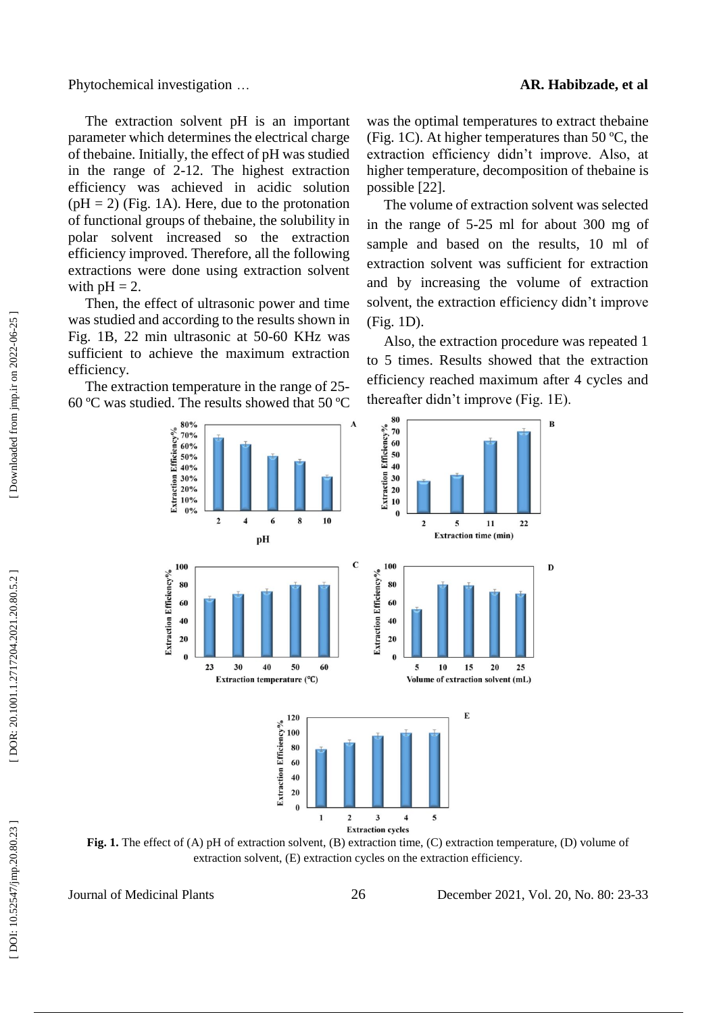Phytochemical investigation ...

The extraction solvent pH is an important parameter which determines the electrical charge of thebaine. Initially, the effect of pH was studied in the range of 2 -12. The highest extraction efficiency was achieved in acidic solution  $(pH = 2)$  (Fig. 1A). Here, due to the protonation of functional groups of thebaine, the solubility in polar solvent increased so the extraction efficiency improved. Therefore, all the following extractions were done using extraction solvent with  $pH = 2$ .

Then, the effect of ultrasonic power and time was studied and according to the results shown in Fig. 1B, 22 min ultrasonic at 50 -60 KHz was sufficient to achieve the maximum extraction efficiency.

The extraction temperature in the range of 25 - 60 ºC was studied. The results showed that 50 ºC

was the optimal temperatures to extract thebain e (Fig. 1C). At higher temperatures than 50 ºC, the extraction efficiency didn't improve. Also, at higher temperature, decomposition of thebaine is possible [22].

The volume of extraction solvent was selected in the range of 5 -25 ml for about 300 mg of sample and based on the results, 10 ml of extraction solvent was sufficient for extraction and by increasing the volume of extraction solvent, the extraction efficiency didn't improve (Fig. 1D).

Also, the extraction procedure was repeated 1 to 5 times. Results showed that the extraction efficiency reached maximum after 4 cycles and thereafter didn't improve (Fig. 1E).



**Fig. 1.** The effect of (A) pH of extraction solvent, (B) extraction time, (C) extraction temperature, (D) volume of extraction solvent, (E) extraction cycles on the extraction efficiency.

Journal of Medicinal Plants 26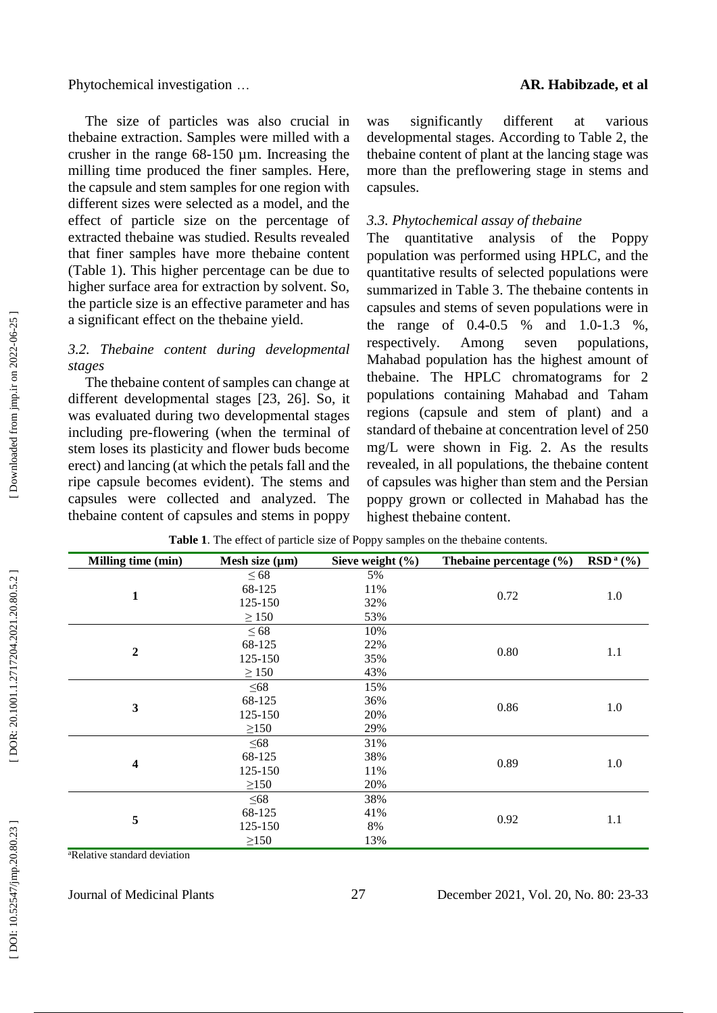Phytochemical investigation ...

The size of particles was also crucial in thebaine extraction. Samples were milled with a crusher in the range 68 -150 µm. Increasing the milling time produced the finer samples. Here, the capsule and stem samples for one region with different sizes were selected as a model, and the effect of particle size on the percentage of extracted thebaine was studied. Results revealed that finer samples have more thebaine content (Table 1). This higher percentage can be due to higher surface area for extraction by solvent. So, the particle size is an effective parameter and has a significant effect on the thebaine yield.

## *3.2. Thebaine content during developmental stages*

The thebaine content of samples can change at different developmental stages [23, 26]. So, it was evaluated during two developmental stages including pre -flowering (when the terminal of stem loses its plasticity and flower buds become erect) and lancing (at which the petals fall and the ripe capsule becomes evident). The stems and capsules were collected and analyzed. The thebaine content of capsules and stems in poppy

was significantly different at various developmental stages. According to Table 2, the thebaine content of plant at the lancing stage was more than the preflowering stage in stems and capsules.

### *3.3. Phytochemical assay of thebaine*

The quantitative analysis of the Poppy population was performed using HPLC, and the quantitative results of selected populations were summarized in Table 3. The thebaine contents in capsules and stems of seven populations were in the range of  $0.4$ - $0.5$ -0.5 % and 1.0 -1.3 %, respectively. Among seven populations, Mahabad population has the highest amount of thebaine. The HPLC chromatograms for 2 populations containing Mahabad and Taham regions (capsule and stem of plant) and a standard of thebaine at concentration level of 250 mg /L were shown in Fig. 2. As the results revealed, in all populations, the thebaine content of capsules was higher than stem and the Persian poppy grown or collected in Mahabad has the highest thebaine content.

| Milling time (min)      | Mesh size $(\mu m)$ | Sieve weight $(\% )$ | The baine percentage $(\% )$ | $RSDa(\%)$ |
|-------------------------|---------------------|----------------------|------------------------------|------------|
|                         | $\leq 68$           | 5%                   |                              |            |
|                         | 68-125              | 11%                  |                              | 1.0        |
| $\mathbf{1}$            | 125-150             | 32%                  | 0.72                         |            |
|                         | $\geq$ 150          | 53%                  |                              |            |
|                         | $\leq 68$           | 10%                  |                              |            |
|                         | 68-125              | 22%                  |                              | 1.1        |
| $\boldsymbol{2}$        | 125-150             | 35%                  | 0.80                         |            |
|                         | $\geq$ 150          | 43%                  |                              |            |
|                         | $\leq 68$           | 15%                  |                              | 1.0        |
|                         | 68-125              | 36%                  | 0.86                         |            |
| 3                       | 125-150             | 20%                  |                              |            |
|                         | $\geq$ 150          | 29%                  |                              |            |
|                         | $\leq 68$           | 31%                  |                              |            |
|                         | 68-125              | 38%                  | 0.89                         | 1.0        |
| $\overline{\mathbf{4}}$ | 125-150             | 11%                  |                              |            |
|                         | $\geq$ 150          | 20%                  |                              |            |
|                         | $\leq 68$           | 38%                  |                              |            |
|                         | 68-125              | 41%                  |                              | 1.1        |
| 5                       | 125-150             | 8%                   | 0.92                         |            |
|                         | $\geq$ 150          | 13%                  |                              |            |

**Table 1**. The effect of particle size of Poppy samples on the thebaine contents .

<sup>a</sup>Relative standard deviation

Journal of Medicinal Plants 27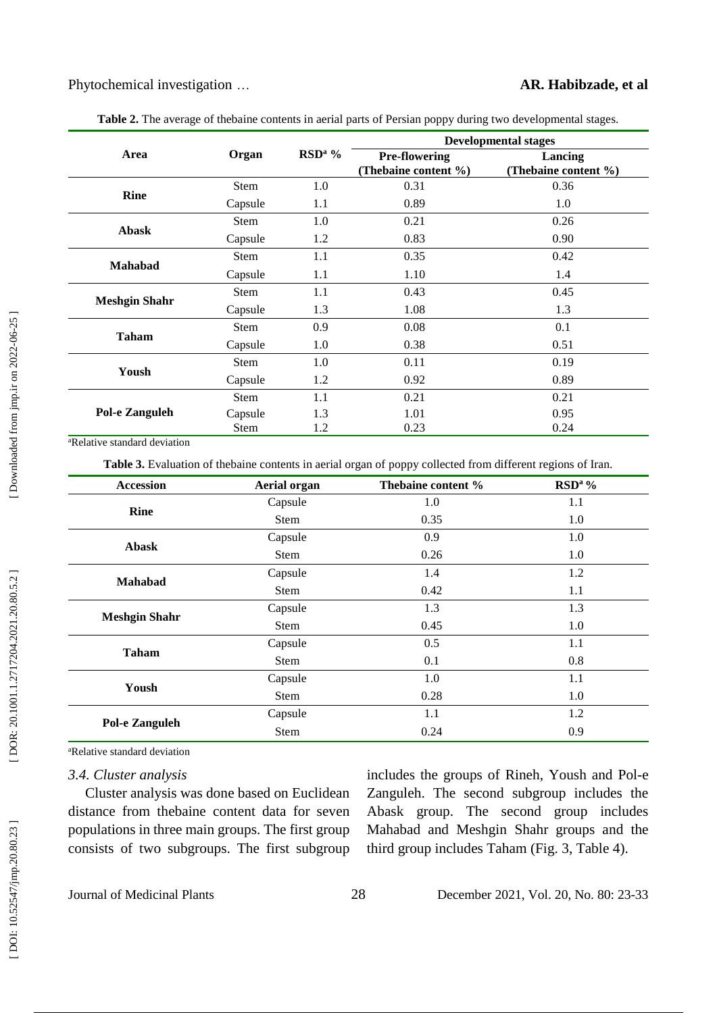|                      |             |                    | <b>Developmental stages</b>                  |                                 |  |
|----------------------|-------------|--------------------|----------------------------------------------|---------------------------------|--|
| Area                 | Organ       | RSD <sup>a</sup> % | <b>Pre-flowering</b><br>(Thebaine content %) | Lancing<br>(Thebaine content %) |  |
|                      | <b>Stem</b> | 1.0                | 0.31                                         | 0.36                            |  |
| <b>Rine</b>          | Capsule     | 1.1                | 0.89                                         | 1.0                             |  |
|                      | <b>Stem</b> | 1.0                | 0.21                                         | 0.26                            |  |
| <b>Abask</b>         | Capsule     | 1.2                | 0.83                                         | 0.90                            |  |
|                      | <b>Stem</b> | 1.1                | 0.35                                         | 0.42                            |  |
| <b>Mahabad</b>       | Capsule     | 1.1                | 1.10                                         | 1.4                             |  |
|                      | <b>Stem</b> | 1.1                | 0.43                                         | 0.45                            |  |
| <b>Meshgin Shahr</b> | Capsule     | 1.3                | 1.08                                         | 1.3                             |  |
|                      | <b>Stem</b> | 0.9                | 0.08                                         | 0.1                             |  |
| <b>Taham</b>         | Capsule     | 1.0                | 0.38                                         | 0.51                            |  |
|                      | <b>Stem</b> | 1.0                | 0.11                                         | 0.19                            |  |
| Yoush                | Capsule     | 1.2                | 0.92                                         | 0.89                            |  |
|                      | <b>Stem</b> | 1.1                | 0.21                                         | 0.21                            |  |
| Pol-e Zanguleh       | Capsule     | 1.3                | 1.01                                         | 0.95                            |  |
|                      | <b>Stem</b> | 1.2                | 0.23                                         | 0.24                            |  |

**Table 2.** The average of thebaine contents in aerial parts of Persian poppy during two developmental stages.

<sup>a</sup>Relative standard deviation

Table 3. Evaluation of thebaine contents in aerial organ of poppy collected from different regions of Iran.

| <b>Accession</b>      | <b>Aerial organ</b> | Thebaine content % | RSD <sup>a</sup> % |
|-----------------------|---------------------|--------------------|--------------------|
|                       | Capsule             | 1.0                | 1.1                |
| <b>Rine</b>           | Stem                | 0.35               | 1.0                |
| <b>Abask</b>          | Capsule             | 0.9                | 1.0                |
|                       | Stem                | 0.26               | 1.0                |
| Mahabad               | Capsule             | 1.4                | 1.2                |
|                       | Stem                | 0.42               | 1.1                |
| <b>Meshgin Shahr</b>  | Capsule             | 1.3                | 1.3                |
|                       | Stem                | 0.45               | 1.0                |
| <b>Taham</b>          | Capsule             | 0.5                | 1.1                |
|                       | Stem                | 0.1                | 0.8                |
|                       | Capsule             | 1.0                | 1.1                |
| Yoush                 | Stem                | 0.28               | 1.0                |
|                       | Capsule             | 1.1                | 1.2                |
| <b>Pol-e Zanguleh</b> | <b>Stem</b>         | 0.24               | 0.9                |

<sup>a</sup>Relative standard deviation

### *3.4. Cluster analysis*

Cluster analysis was done based on Euclidean distance from thebaine content data for seven populations in three main groups. The first group consists of two subgroups. The first subgroup

includes the groups of Rineh, Yoush and Pol -e Zanguleh. The second subgroup includes the Abask group. The second group includes Mahabad and Mesh gin Shahr groups and the third group includes Taham (Fig. 3, Table 4).

Journal of Medicinal Plants 28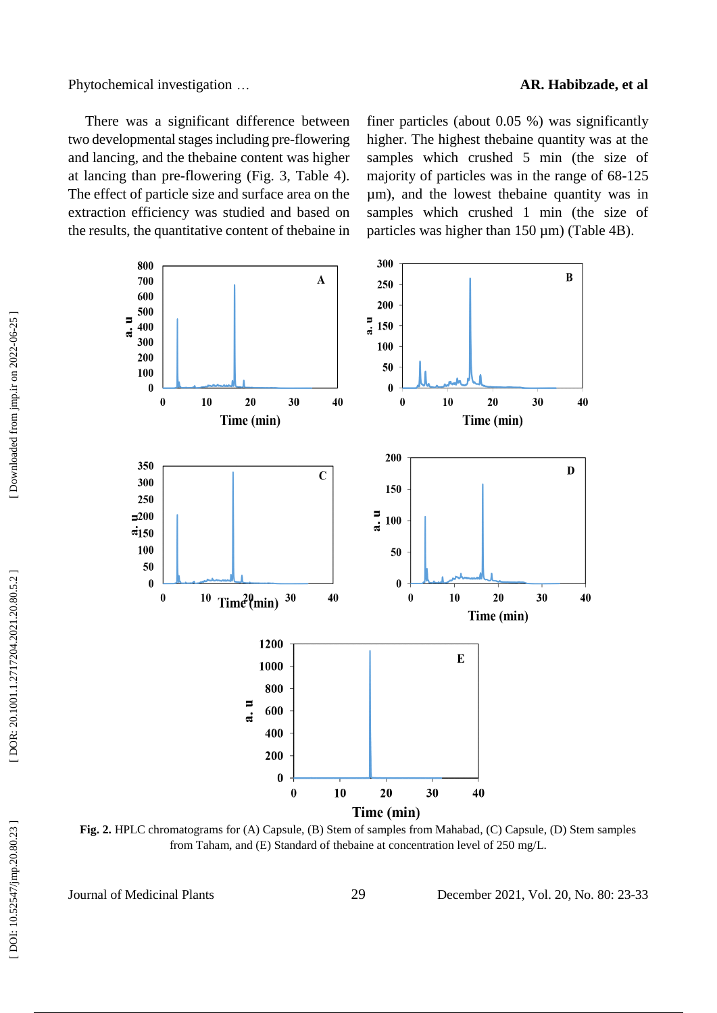Phytochemical investigation ...

#### … **AR. Habibzade, et al**

There was a significant difference between two developmental stages including pre -flowering and lancing, and the thebaine content was higher at lancing than pre -flowering (Fig. 3, Table 4). The effect of particle size and surface area on the extraction efficiency was studied and based on the results, the quantitative content of thebaine in

finer particles (about 0.05 %) was significantly higher. The highest thebaine quantity was at the samples which crushed 5 min (the size of majority of particles was in the range of 68 -125 µm), and the lowest thebaine quantity was in samples which crushed 1 min (the size of particles was higher than  $150 \mu m$ ) (Table 4B).



**Fig. 2.** HPLC chromatograms for (A) Capsule, (B) Stem of samples from Mahabad, (C) Capsule, (D) Stem samples from Taham, and (E) Standard of thebaine at concentration level of 250 mg /L.

Journal of Medicinal Plants 29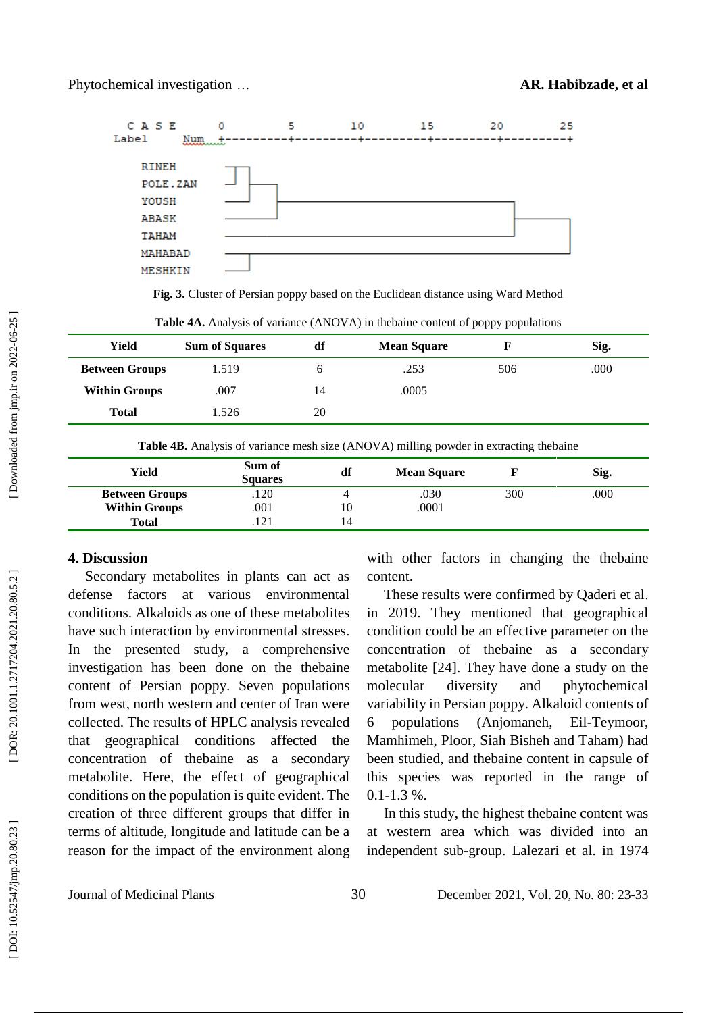

**Fig. 3.** Cluster of Persian poppy based on the Euclidean distance using Ward Method

|                       |                       |    |                    | 1 1 1 J 1 1 |      |
|-----------------------|-----------------------|----|--------------------|-------------|------|
| Yield                 | <b>Sum of Squares</b> | df | <b>Mean Square</b> |             | Sig. |
| <b>Between Groups</b> | 1.519                 | n  | .253               | 506         | .000 |
| <b>Within Groups</b>  | .007                  | 14 | .0005              |             |      |
| <b>Total</b>          | 1.526                 | 20 |                    |             |      |
|                       |                       |    |                    |             |      |

Table 4A. Analysis of variance (ANOVA) in thebaine content of poppy populations

| Yield                 | Sum of<br><b>Squares</b> | df  | <b>Mean Square</b> |     | Sig. |
|-----------------------|--------------------------|-----|--------------------|-----|------|
| <b>Between Groups</b> | .120                     |     | .030               | 300 | .000 |
| <b>Within Groups</b>  | .001                     | 10  | .0001              |     |      |
| <b>Total</b>          | 121                      | ، 4 |                    |     |      |

### **4. Discussion**

Secondary metabolites in plants can act as defense factors at various environmental conditions. Alkaloids as one of these metabolites have such interaction by environmental stresses . In the presented study, a comprehensive investigation has been done on the thebaine content of Persian poppy. Seven populations from west, north western and center of Iran were collected. The results of HPLC analysis revealed that geographical conditions affected the concentration of thebaine as a secondary metabolite. Here, the effect of geographical conditions on the population is quite evident. The creation of three different groups that differ in term s of altitude, longitude and latitude can be a reason for the impact of the environment along

with other factors in changing the thebaine content.

These results were confirmed by Qaderi et al . in 2019. They mentioned that geographical condition could be an effective parameter on the concentration of thebaine as a secondary metabolite [24]. They have done a study on the molecular diversity and phytochemical variability in Persian poppy. Alkaloid contents of 6 populations (Anjomaneh, Eil-Teymoor, Mamhimeh, Ploor, Siah Bisheh and Taham) had been studied, and thebaine content in capsule of this species was reported in the range of  $0.1 - 1.3$  %.

In this study, the highest thebaine content was at western area which was divided into an independent sub -group. Lalezari et al. in 1974

Journal of Medicinal Plants 30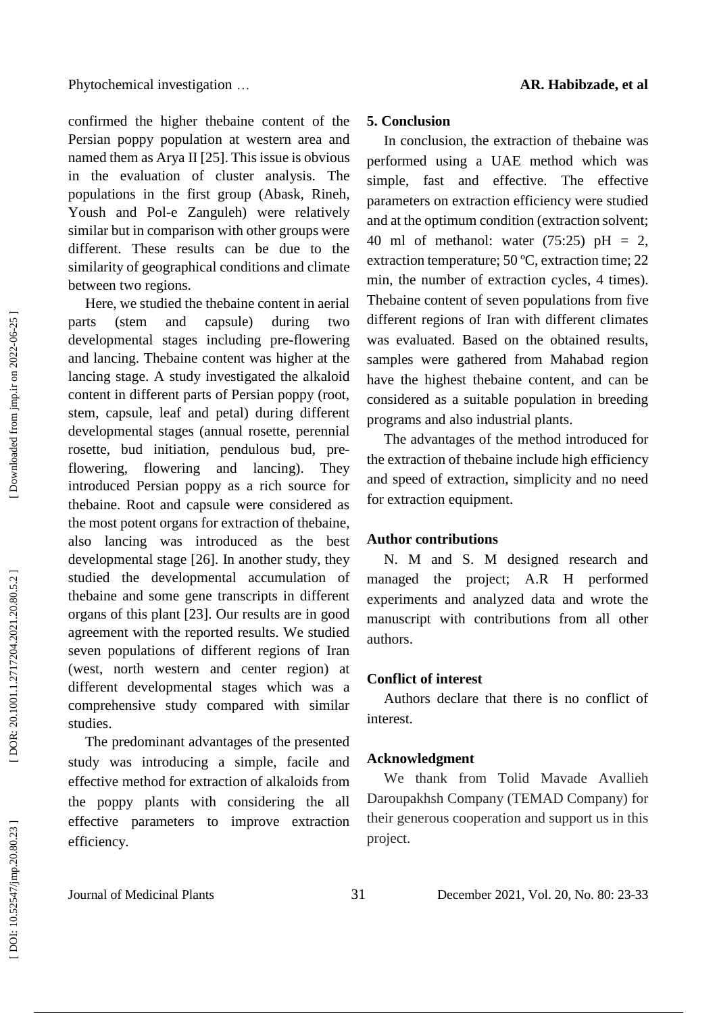confirmed the higher thebaine content of the Persian poppy population at western area and named them as Arya II [25] . This issue is obvious in the evaluation of cluster analysis. The populations in the first group (Abask, Rineh, Yoush and Pol-e Zanguleh) were relatively similar but in comparison with other groups were different. These results can be due to the similarity of geographical conditions and climate between two regions.

Here, we studied the thebaine content in aerial parts (stem and capsule) during two developmental stages including pre -flowering and lancing. Thebaine content was higher at the lancing stage . A study investigated the alkaloid content in different parts of Persian poppy (root, stem, capsule, leaf and petal) during different developmental stages (annual rosette, perennial rosette, bud initiation, pendulous bud, pre flowering, flowering and lancing). They introduced Persian poppy as a rich source for thebaine. Root and capsule were considered as the most potent organs for extraction of thebaine, also lancing was introduced as the best developmental stage [26]. In another study, they studied the developmental accumulation of thebaine and some gene transcripts in different organs of this plant [23]. Our results are in good agreement with the reported results. We studied seven populations of different regions of Iran (west, north western and center region) at different developmental stages which was a comprehensive study compared with similar studies.

The predominant advantages of the presented study was introducing a simple, facile and effective method for extraction of alkaloids from the poppy plant s with considering the all effective parameters to improve extraction efficiency .

In conclusion, the extraction of thebaine was performed using a UAE method which was simple, fast and effective. The effective parameters on extraction efficiency were studied and at the optimum condition (extraction solvent; 40 ml of methanol: water  $(75:25)$  pH = 2, extraction temperature; 50 ºC, extraction time; 22 min, the number of extraction cycles, 4 times). Thebaine content of seven populations from five different regions of Iran with different climates was evaluated . Based on the obtained results, samples were gathered from Mahabad region have the highest thebaine content, and can be considered as a suitable population in breeding program s and also industrial plant s .

The advantages of the method introduced for the extraction of thebaine include high efficiency and speed of extraction, simplicity and no need for extraction equipment.

### **Author contributions**

N. M and S. M designed research and managed the project; A.R H performed experiments and analyzed data and wrote the manuscript with contributions from all other authors.

#### **Conflict of interest**

Authors declare that there is no conflict of interest.

### **Acknowledgment**

We thank from Tolid Mavade Avallieh Daroupakhsh Company (TEMAD Company) for their generous cooperation and support us in this project.

Journal of Medicinal Plants 31

DOR: 20.1001.1.2717204.2021.20.80.5.2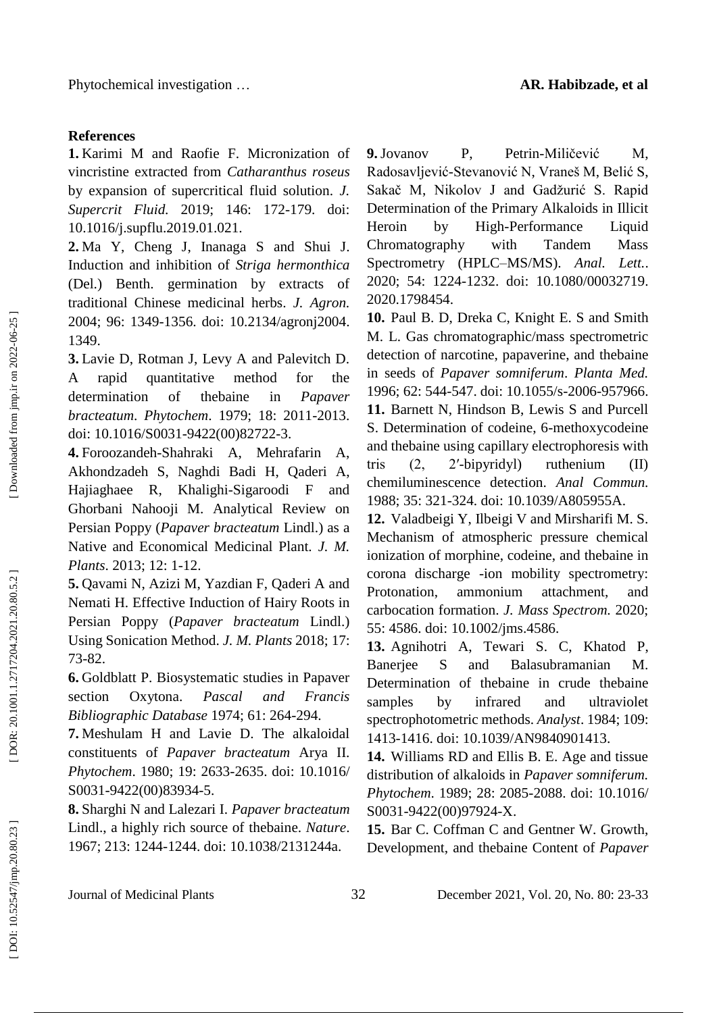# **References**

**1.** Karimi M and Raofie F. Micronization of vincristine extracted from *Catharanthus roseus* by expansion of supercritical fluid solution. *J. Supercrit Fluid.* 2019; 146: 172 -179. doi: 10.1016/j.supflu.2019.01.021.

**2.** Ma Y, Cheng J, Inanaga S and Shui J. Induction and inhibition of *Striga hermonthica* (Del.) Benth. germination by extracts of traditional Chinese medicinal herbs. *J. Agron.*  2004; 96: 1349 -1356. doi: 10.2134/agronj2004. 1349.

**3.** Lavie D , Rotman J , Levy A and Palevitch D. A rapid quantitative method for the determination of thebaine in *Papaver bracteatum*. *Phytochem*. 1979; 18: 2011 -2013. doi: 10.1016/S0031 -9422(00)82722 -3.

**4 .** Foroozandeh -Shahraki A , Mehrafarin A , Akhondzadeh S , Naghdi Badi H , Qaderi A , Hajiaghaee R , Khalighi -Sigaroodi F and Ghorbani Nahooji M. Analytical Review on Persian Poppy (*Papaver bracteatum* Lindl.) as a Native and Economical Medicinal Plant. *J. M. Plants*. 2013; 12: 1 -12.

**5 .** Qavami N , Azizi M , Yazdian F , Qaderi A and Nemati H. Effective Induction of Hairy Roots in Persian Poppy (*Papaver bracteatum* Lindl.) Using Sonication Method. *J. M. Plants* 2018; 17: 73 -82.

**6 .** Goldblatt P. Biosystematic studies in Papaver section Oxytona. *Pascal and Francis Bibliographic Database* 1974; 61: 264 -294.

**7 .** Meshulam H and Lavie D. The alkaloidal constituents of *Papaver bracteatum* Arya II. *Phytochem*. 1980; 19: 2633 -2635. doi: 10.1016/ S0031 -9422(00)83934 -5.

**8 .** Sharghi N and Lalezari I. *Papaver bracteatum* Lindl., a highly rich source of thebaine. *Nature*. 1967; 213: 1244 -1244. doi: 10.1038/2131244a.

**9 .**Jovanov P , Petrin -Miličević M M. Radosavljević -Stevanović N , Vraneš M , Belić S , Sakač M , Nikolov J and Gadžurić S. Rapid Determination of the Primary Alkaloids in Illicit Heroin by High-Performance Liquid Chromatography with Tandem Mass Spectrometry (HPLC –MS/MS). *Anal. Lett.*. 2020; 54: 1224 -1232. doi: 10.1080/00032719. 2020.1798454.

**10 .** Paul B. D , Dreka C , Knight E. S and Smith M. L. Gas chromatographic/mass spectrometric detection of narcotine, papaverine, and thebaine in seeds of *Papaver somniferum*. *Planta Med.*  1996; 62: 544 -547. doi : 10.1055/s -2006 -957966. **11 .** Barnett N , Hindson B , Lewis S and Purcell S. Determination of codeine, 6 -methoxycodeine and thebaine using capillary electrophoresis with tris  $(2,$ -bipyridyl) ruthenium (II) chemiluminescence detection. *Anal Commun.*  1988; 35: 321 -324. doi: 10.1039/A805955A.

**12 .** Valadbeigi Y , Ilbeigi V and Mirsharifi M. S. Mechanism of atmospheric pressure chemical ionization of morphine, codeine, and thebaine in corona discharge -ion mobility spectrometry: Protonation, ammonium attachment, and carbocation formation. *J. Mass Spectrom.* 2020; 55: 4586. doi: 10.1002/jms.4586.

13. Agnihotri A, Tewari S. C, Khatod P, Banerjee S and Balasubramanian M. Determination of thebaine in crude thebaine samples by infrared and ultraviolet spectrophotometric methods. *Analyst*. 1984; 109: 1413 -1416. doi: 10.1039/AN9840901413.

**14 .** Williams RD and Ellis B. E. Age and tissue distribution of alkaloids in *Papaver somniferum. Phytochem*. 1989; 28: 2085 -2088. doi: 10.1016/ S0031 -9422(00)97924 -X.

**15 .** Bar C. Coffman C and Gentner W. Growth, Development, and thebaine Content of *Papaver* 

Journal of Medicinal Plants 32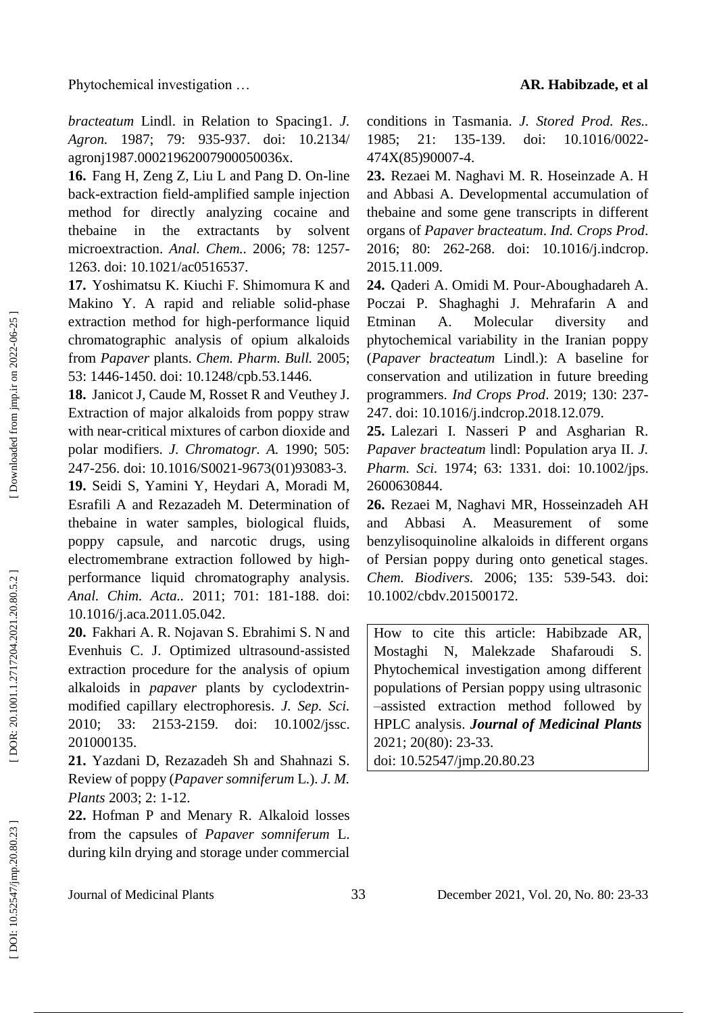*bracteatum* Lindl. in Relation to Spacing1. *J. Agron.* 1987; 79: 935 -937. doi: 10.2134/ agronj1987.00021962007900050036x.

16. Fang H, Zeng Z, Liu L and Pang D. On-line back -extraction field -amplified sample injection method for directly analyzing cocaine and thebaine in the extractants by solvent microextraction. *Anal. Chem..* 2006; 78: 1257 - 1263. doi: 10.1021/ac0516537.

**17 .** Yoshimatsu K. Kiuchi F. Shimomura K and Makino Y. A rapid and reliable solid -phase extraction method for high -performance liquid chromatographic analysis of opium alkaloids from *Papaver* plants. *Chem. Pharm. Bull.* 2005; 53: 1446 -1450. doi: 10.1248/cpb.53.1446.

**18 .** Janicot J , Caude M , Rosset R and Veuthey J. Extraction of major alkaloids from poppy straw with near -critical mixtures of carbon dioxide and polar modifiers. *J. Chromatogr. A.* 1990; 505: 247 -256. doi: 10.1016/S0021 -9673(01)93083 -3.

19. Seidi S, Yamini Y, Heydari A, Moradi M, Esrafili A and Rezazadeh M. Determination of thebaine in water samples, biological fluids, poppy capsule, and narcotic drugs, using electromembrane extraction followed by high performance liquid chromatography analysis. *Anal. Chim. Acta..* 2011; 701: 181 - 188. doi: 10.1016/j.aca.2011.05.042.

**20 .** Fakhari A. R. Nojavan S. Ebrahimi S. N and Evenhuis C. J. Optimized ultrasound ‐assisted extraction procedure for the analysis of opium alkaloids in *papaver* plants by cyclodextrin ‐ modified capillary electrophoresis. *J. Sep. Sci .* 2010; 33: 2153 doi: 10.1002/jssc. 201000135.

**21 .** Yazdani D , Rezazadeh S h and Shahnazi S. Review of poppy (*Papaver somniferum* L.). *J. M. Plants* 2003; 2: 1 -12.

**22 .** Hofman P and Menary R. Alkaloid losses from the capsules of *Papaver somniferum* L. during kiln drying and storage under commercial

conditions in Tasmania. *J. Stored Prod. Res..* 1985: 21: 135-139. -139. doi: 10.1016/0022 - 474X(85)90007 -4.

**23 .** Rezaei M. Naghavi M. R. Hoseinzade A. H and Abbasi A. Developmental accumulation of thebaine and some gene transcripts in different organs of *Papaver bracteatum*. *Ind. Crops Prod*. 2016; 80: 262 -268. doi: 10.1016/j.indcrop. 2015.11.009.

**24 .** Qaderi A. Omidi M. Pour -Aboughadareh A. Poczai P. Shaghaghi J. Mehrafarin A and Etminan A. Molecular diversity and phytochemical variability in the Iranian poppy (*Papaver bracteatum* Lindl.): A baseline for conservation and utilization in future breeding programmers. *Ind Crops Prod*. 2019; 130: 237 - 247. doi: 10.1016/j.indcrop.2018.12.079.

**25 .** Lalezari I. Nasseri P and Asgharian R. *Papaver bracteatum* lindl: Population arya II. *J. Pharm. Sci.* 1974; 63: 1331. doi: 10.1002/jps. 2600630844 .

**26 .** Rezaei M , Naghavi MR , Hosseinzadeh AH and Abbasi A. Measurement of some benzylisoquinoline alkaloids in different organs of Persian poppy during onto genetical stages. *Chem. Biodivers.* 2006; 135: 539 -543. doi: 10.1002/cbdv.201500172 .

How to cite this article: Habibzade AR, Mostaghi N , Malekzade Shafaroudi S. Phytochemical investigation among different populations of Persian poppy using ultrasonic –assisted extraction method followed by HPLC analysis . *Journal of Medicinal Plants* 2021; 20(80): 23 -33. doi: [10.52547/jmp.20.80.23](http://dx.doi.org/10.52547/jmp.20.80.23)